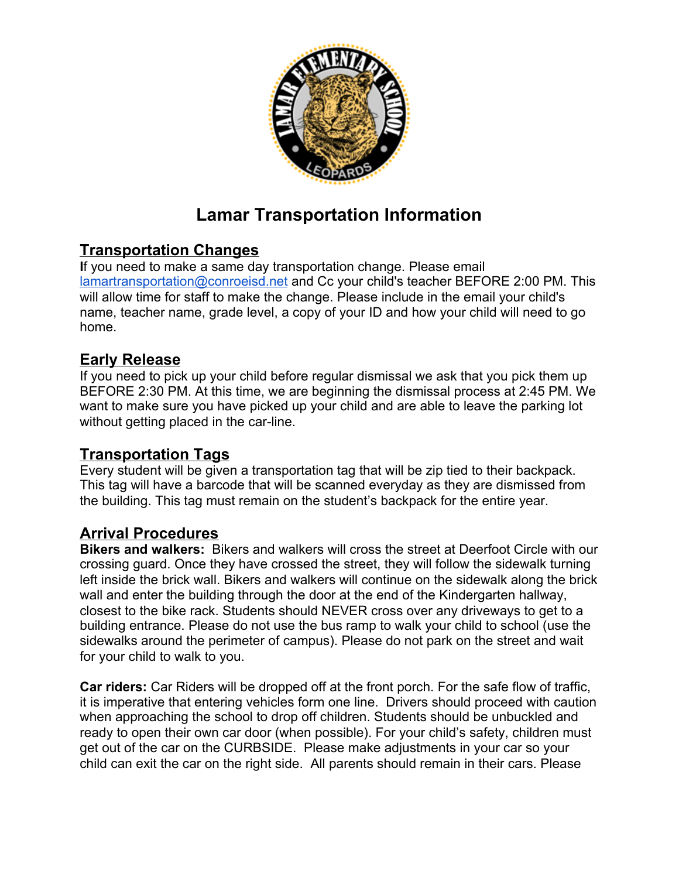

# **Lamar Transportation Information**

## **Transportation Changes**

**I**f you need to make a same day transportation change. Please email [lamartransportation@conroeisd.net](mailto:lamartransportation@conroeisd.net) and Cc your child's teacher BEFORE 2:00 PM. This will allow time for staff to make the change. Please include in the email your child's name, teacher name, grade level, a copy of your ID and how your child will need to go home.

### **Early Release**

If you need to pick up your child before regular dismissal we ask that you pick them up BEFORE 2:30 PM. At this time, we are beginning the dismissal process at 2:45 PM. We want to make sure you have picked up your child and are able to leave the parking lot without getting placed in the car-line.

#### **Transportation Tags**

Every student will be given a transportation tag that will be zip tied to their backpack. This tag will have a barcode that will be scanned everyday as they are dismissed from the building. This tag must remain on the student's backpack for the entire year.

#### **Arrival Procedures**

**Bikers and walkers:** Bikers and walkers will cross the street at Deerfoot Circle with our crossing guard. Once they have crossed the street, they will follow the sidewalk turning left inside the brick wall. Bikers and walkers will continue on the sidewalk along the brick wall and enter the building through the door at the end of the Kindergarten hallway, closest to the bike rack. Students should NEVER cross over any driveways to get to a building entrance. Please do not use the bus ramp to walk your child to school (use the sidewalks around the perimeter of campus). Please do not park on the street and wait for your child to walk to you.

**Car riders:** Car Riders will be dropped off at the front porch. For the safe flow of traffic, it is imperative that entering vehicles form one line. Drivers should proceed with caution when approaching the school to drop off children. Students should be unbuckled and ready to open their own car door (when possible). For your child's safety, children must get out of the car on the CURBSIDE. Please make adjustments in your car so your child can exit the car on the right side. All parents should remain in their cars. Please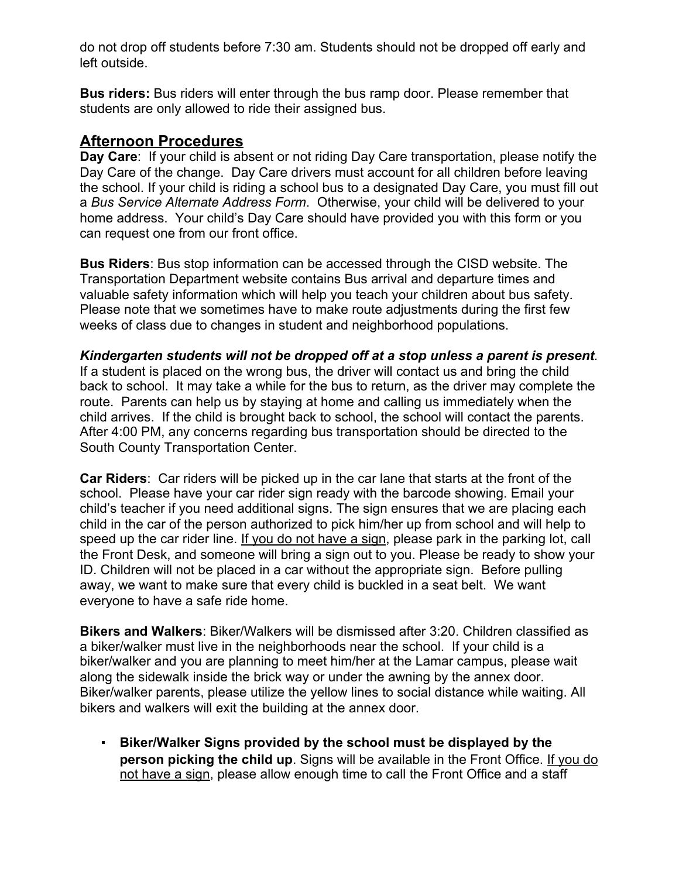do not drop off students before 7:30 am. Students should not be dropped off early and left outside.

**Bus riders:** Bus riders will enter through the bus ramp door. Please remember that students are only allowed to ride their assigned bus.

## **Afternoon Procedures**

**Day Care**: If your child is absent or not riding Day Care transportation, please notify the Day Care of the change. Day Care drivers must account for all children before leaving the school. If your child is riding a school bus to a designated Day Care, you must fill out a *Bus Service Alternate Address Form*. Otherwise, your child will be delivered to your home address. Your child's Day Care should have provided you with this form or you can request one from our front office.

**Bus Riders**: Bus stop information can be accessed through the CISD website. The Transportation Department website contains Bus arrival and departure times and valuable safety information which will help you teach your children about bus safety. Please note that we sometimes have to make route adjustments during the first few weeks of class due to changes in student and neighborhood populations.

#### *Kindergarten students will not be dropped off at a stop unless a parent is present.*

If a student is placed on the wrong bus, the driver will contact us and bring the child back to school. It may take a while for the bus to return, as the driver may complete the route. Parents can help us by staying at home and calling us immediately when the child arrives. If the child is brought back to school, the school will contact the parents. After 4:00 PM, any concerns regarding bus transportation should be directed to the South County Transportation Center.

**Car Riders**: Car riders will be picked up in the car lane that starts at the front of the school. Please have your car rider sign ready with the barcode showing. Email your child's teacher if you need additional signs. The sign ensures that we are placing each child in the car of the person authorized to pick him/her up from school and will help to speed up the car rider line. If you do not have a sign, please park in the parking lot, call the Front Desk, and someone will bring a sign out to you. Please be ready to show your ID. Children will not be placed in a car without the appropriate sign. Before pulling away, we want to make sure that every child is buckled in a seat belt. We want everyone to have a safe ride home.

**Bikers and Walkers**: Biker/Walkers will be dismissed after 3:20. Children classified as a biker/walker must live in the neighborhoods near the school. If your child is a biker/walker and you are planning to meet him/her at the Lamar campus, please wait along the sidewalk inside the brick way or under the awning by the annex door. Biker/walker parents, please utilize the yellow lines to social distance while waiting. All bikers and walkers will exit the building at the annex door.

▪ **Biker/Walker Signs provided by the school must be displayed by the person picking the child up**. Signs will be available in the Front Office. If you do not have a sign, please allow enough time to call the Front Office and a staff